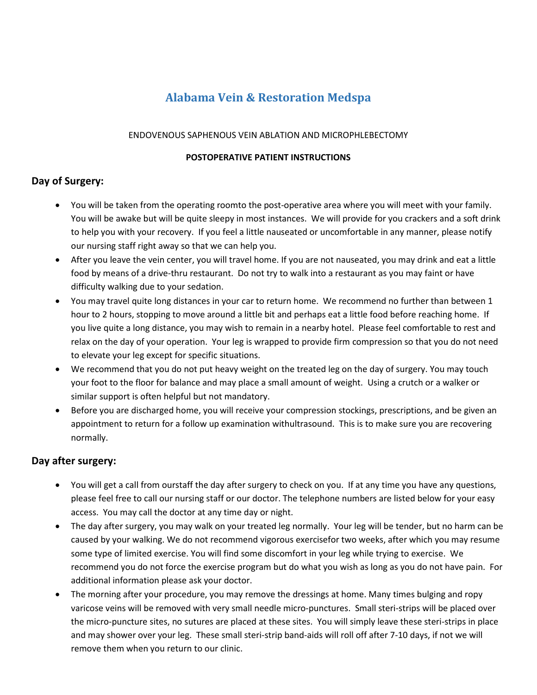# **Alabama Vein & Restoration Medspa**

#### ENDOVENOUS SAPHENOUS VEIN ABLATION AND MICROPHLEBECTOMY

#### **POSTOPERATIVE PATIENT INSTRUCTIONS**

# **Day of Surgery:**

- You will be taken from the operating roomto the post-operative area where you will meet with your family. You will be awake but will be quite sleepy in most instances. We will provide for you crackers and a soft drink to help you with your recovery. If you feel a little nauseated or uncomfortable in any manner, please notify our nursing staff right away so that we can help you.
- After you leave the vein center, you will travel home. If you are not nauseated, you may drink and eat a little food by means of a drive-thru restaurant. Do not try to walk into a restaurant as you may faint or have difficulty walking due to your sedation.
- You may travel quite long distances in your car to return home. We recommend no further than between 1 hour to 2 hours, stopping to move around a little bit and perhaps eat a little food before reaching home. If you live quite a long distance, you may wish to remain in a nearby hotel. Please feel comfortable to rest and relax on the day of your operation. Your leg is wrapped to provide firm compression so that you do not need to elevate your leg except for specific situations.
- We recommend that you do not put heavy weight on the treated leg on the day of surgery. You may touch your foot to the floor for balance and may place a small amount of weight. Using a crutch or a walker or similar support is often helpful but not mandatory.
- Before you are discharged home, you will receive your compression stockings, prescriptions, and be given an appointment to return for a follow up examination withultrasound. This is to make sure you are recovering normally.

# **Day after surgery:**

- You will get a call from ourstaff the day after surgery to check on you. If at any time you have any questions, please feel free to call our nursing staff or our doctor. The telephone numbers are listed below for your easy access. You may call the doctor at any time day or night.
- The day after surgery, you may walk on your treated leg normally. Your leg will be tender, but no harm can be caused by your walking. We do not recommend vigorous exercisefor two weeks, after which you may resume some type of limited exercise. You will find some discomfort in your leg while trying to exercise. We recommend you do not force the exercise program but do what you wish as long as you do not have pain. For additional information please ask your doctor.
- The morning after your procedure, you may remove the dressings at home. Many times bulging and ropy varicose veins will be removed with very small needle micro-punctures. Small steri-strips will be placed over the micro-puncture sites, no sutures are placed at these sites. You will simply leave these steri-strips in place and may shower over your leg. These small steri-strip band-aids will roll off after 7-10 days, if not we will remove them when you return to our clinic.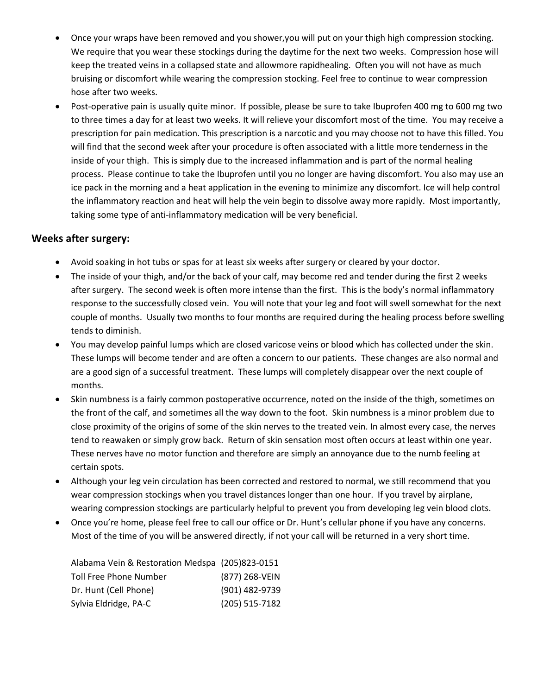- Once your wraps have been removed and you shower,you will put on your thigh high compression stocking. We require that you wear these stockings during the daytime for the next two weeks. Compression hose will keep the treated veins in a collapsed state and allowmore rapidhealing. Often you will not have as much bruising or discomfort while wearing the compression stocking. Feel free to continue to wear compression hose after two weeks.
- Post-operative pain is usually quite minor. If possible, please be sure to take Ibuprofen 400 mg to 600 mg two to three times a day for at least two weeks. It will relieve your discomfort most of the time. You may receive a prescription for pain medication. This prescription is a narcotic and you may choose not to have this filled. You will find that the second week after your procedure is often associated with a little more tenderness in the inside of your thigh. This is simply due to the increased inflammation and is part of the normal healing process. Please continue to take the Ibuprofen until you no longer are having discomfort. You also may use an ice pack in the morning and a heat application in the evening to minimize any discomfort. Ice will help control the inflammatory reaction and heat will help the vein begin to dissolve away more rapidly. Most importantly, taking some type of anti-inflammatory medication will be very beneficial.

### **Weeks after surgery:**

- Avoid soaking in hot tubs or spas for at least six weeks after surgery or cleared by your doctor.
- The inside of your thigh, and/or the back of your calf, may become red and tender during the first 2 weeks after surgery. The second week is often more intense than the first. This is the body's normal inflammatory response to the successfully closed vein. You will note that your leg and foot will swell somewhat for the next couple of months. Usually two months to four months are required during the healing process before swelling tends to diminish.
- You may develop painful lumps which are closed varicose veins or blood which has collected under the skin. These lumps will become tender and are often a concern to our patients. These changes are also normal and are a good sign of a successful treatment. These lumps will completely disappear over the next couple of months.
- Skin numbness is a fairly common postoperative occurrence, noted on the inside of the thigh, sometimes on the front of the calf, and sometimes all the way down to the foot. Skin numbness is a minor problem due to close proximity of the origins of some of the skin nerves to the treated vein. In almost every case, the nerves tend to reawaken or simply grow back. Return of skin sensation most often occurs at least within one year. These nerves have no motor function and therefore are simply an annoyance due to the numb feeling at certain spots.
- Although your leg vein circulation has been corrected and restored to normal, we still recommend that you wear compression stockings when you travel distances longer than one hour. If you travel by airplane, wearing compression stockings are particularly helpful to prevent you from developing leg vein blood clots.
- Once you're home, please feel free to call our office or Dr. Hunt's cellular phone if you have any concerns. Most of the time of you will be answered directly, if not your call will be returned in a very short time.

| Alabama Vein & Restoration Medspa (205)823-0151 |                  |
|-------------------------------------------------|------------------|
| Toll Free Phone Number                          | (877) 268-VEIN   |
| Dr. Hunt (Cell Phone)                           | (901) 482-9739   |
| Sylvia Eldridge, PA-C                           | $(205)$ 515-7182 |